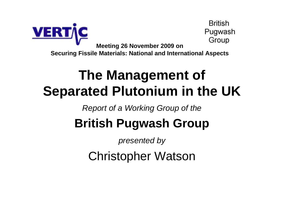

### **The Management ofSeparated Plutonium in the UK**

Report of a Working Group of the

### **British Pugwash Group**

presented by

Christopher Watson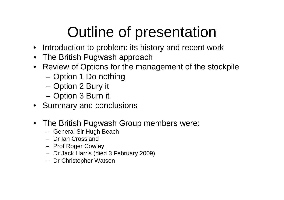## Outline of presentation

- Introduction to problem: its history and recent work
- The British Pugwash approach
- Review of Options for the management of the stockpile
	- Option 1 Do nothing
	- –Option 2 Bury it
	- Option 3 Burn it
- Summary and conclusions
- The British Pugwash Group members were:
	- General Sir Hugh Beach
	- Dr Ian Crossland
	- Prof Roger Cowley
	- Dr Jack Harris (died 3 February 2009)
	- Dr Christopher Watson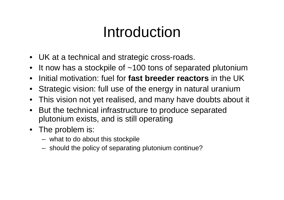### Introduction

- UK at a technical and strategic cross-roads.
- $\bullet$ It now has a stockpile of ~100 tons of separated plutonium
- •Initial motivation: fuel for **fast breeder reactors** in the UK
- $\bullet$ Strategic vision: full use of the energy in natural uranium
- $\bullet$ This vision not yet realised, and many have doubts about it
- • But the technical infrastructure to produce separated plutonium exists, and is still operating
- The problem is:
	- what to do about this stockpile
	- should the policy of separating plutonium continue?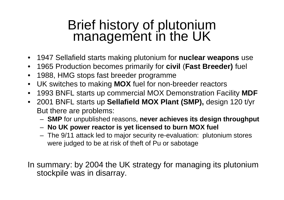# Brief history of plutonium management in the UK

- 1947 Sellafield starts making plutonium for **nuclear weapons** use
- 1965 Production becomes primarily for **civil** (**Fast Breeder)** fuel
- 1988, HMG stops fast breeder programme
- UK switches to making **MOX** fuel for non-breeder reactors
- 1993 BNFL starts up commercial MOX Demonstration Facility **MDF**
- 2001 BNFL starts up **Sellafield MOX Plant (SMP),** design 120 t/yr But there are problems:
	- –**SMP** for unpublished reasons, **never achieves its design throughput**
	- –**No UK power reactor is yet licensed to burn MOX fuel**
	- – The 9/11 attack led to major security re-evaluation: plutonium stores were judged to be at risk of theft of Pu or sabotage

In summary: by 2004 the UK strategy for managing its plutonium stockpile was in disarray.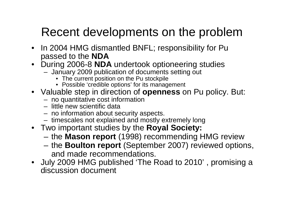### Recent developments on the problem

- In 2004 HMG dismantled BNFL; responsibility for Pupassed to the **NDA**
- During 2006-8 **NDA** undertook optioneering studies
	- – January 2009 publication of documents setting out
		- The current position on the Pu stockpile
		- Possible 'credible options' for its management
- Valuable step in direction of **openness** on Pu policy. But:
	- –no quantitative cost information
	- –little new scientific data
	- –no information about security aspects.
	- –timescales not explained and mostly extremely long
- Two important studies by the **Royal Society:**
	- **Links of the Company** the **Mason report** (1998) recommending HMG review
	- – the **Boulton report** (September 2007) reviewed options, and made recommendations.
- July 2009 HMG published 'The Road to 2010' , promising a discussion document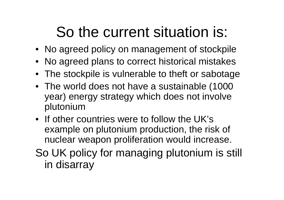## So the current situation is:

- No agreed policy on management of stockpile
- No agreed plans to correct historical mistakes
- The stockpile is vulnerable to theft or sabotage
- The world does not have a sustainable (1000 year) energy strategy which does not involve plutonium
- If other countries were to follow the UK's example on plutonium production, the risk of nuclear weapon proliferation would increase.
- So UK policy for managing plutonium is still in disarray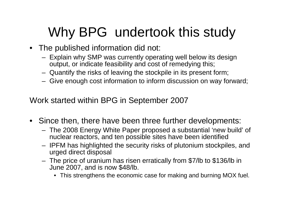### Why BPG undertook this study

- The published information did not:
	- Explain why SMP was currently operating well below its design output, or indicate feasibility and cost of remedying this;
	- Quantify the risks of leaving the stockpile in its present form;
	- Give enough cost information to inform discussion on way forward;

Work started within BPG in September 2007

- Since then, there have been three further developments:
	- The 2008 Energy White Paper proposed a substantial 'new build' of nuclear reactors, and ten possible sites have been identified
	- IPFM has highlighted the security risks of plutonium stockpiles, and urged direct disposal
	- The price of uranium has risen erratically from \$7/lb to \$136/lb in June 2007, and is now \$48/lb.
		- This strengthens the economic case for making and burning MOX fuel.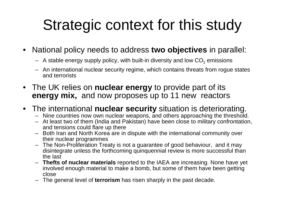## Strategic context for this study

- • National policy needs to address **two objectives** in parallel:
	- $-$  A stable energy supply policy, with built-in diversity and low  $\mathsf{CO}_2$  emissions
	- An international nuclear security regime, which contains threats from rogue states and terrorists
- The UK relies on **nuclear energy** to provide part of its**energy mix,** and now proposes up to 11 new reactors
- The international **nuclear security** situation is deteriorating.
	- Nine countries now own nuclear weapons, and others approaching the threshold.
	- At least two of them (India and Pakistan) have been close to military confrontation, and tensions could flare up there
	- Both Iran and North Korea are in dispute with the international community over their nuclear programmes
	- The Non-Proliferation Treaty is not a guarantee of good behaviour, and it may disintegrate unless the forthcoming quinquennial review is more successful than the last
	- **Thefts of nuclear materials** reported to the IAEA are increasing. None have yet involved enough material to make a bomb, but some of them have been getting close
	- The general level of **terrorism** has risen sharply in the past decade. –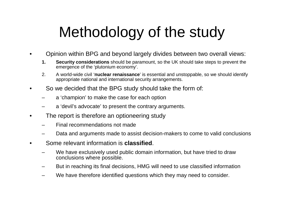## Methodology of the study

- • Opinion within BPG and beyond largely divides between two overall views:
	- **1. Security considerations** should be paramount, so the UK should take steps to prevent the emergence of the 'plutonium economy'.
	- 2. A world-wide civil '**nuclear renaissance**' is essential and unstoppable, so we should identify appropriate national and international security arrangements.
- • So we decided that the BPG study should take the form of:
	- <sup>a</sup>'champion' to make the case for each option
	- <sup>a</sup>'devil's advocate' to present the contrary arguments.
- • The report is therefore an optioneering study
	- Final recommendations not made
	- Data and arguments made to assist decision-makers to come to valid conclusions
- • Some relevant information is **classified**.
	- We have exclusively used public domain information, but have tried to draw conclusions where possible.
	- But in reaching its final decisions, HMG will need to use classified information
	- –We have therefore identified questions which they may need to consider.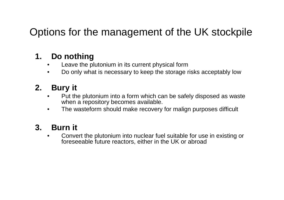### Options for the management of the UK stockpile

#### **1. Do nothing**

- Leave the plutonium in its current physical form•
- Do only what is necessary to keep the storage risks acceptably low •

#### **2. Bury it**

- Put the plutonium into a form which can be safely disposed as waste •when a repository becomes available.
- $\bullet$ The wasteform should make recovery for malign purposes difficult

#### **3. Burn it**

 Convert the plutonium into nuclear fuel suitable for use in existing or •foreseeable future reactors, either in the UK or abroad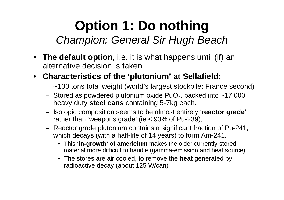### **Option 1: Do nothing**Champion: General Sir Hugh Beach

- **The default option**, i.e. it is what happens until (if) an alternative decision is taken.
- **Characteristics of the 'plutonium' at Sellafield:**
	- ~100 tons total weight (world's largest stockpile: France second)
	- Stored as powdered plutonium oxide  $PuO<sub>2</sub>$ , packed into  $~17,000$ heavy duty **steel cans** containing 5-7kg each.
	- Isotopic composition seems to be almost entirely '**reactor grade**' rather than 'weapons grade' (ie < 93% of Pu-239),
	- Reactor grade plutonium contains a significant fraction of Pu-241, which decays (with a half-life of 14 years) to form Am-241.
		- This **'in-growth' of americium** makes the older currently-stored material more difficult to handle (gamma-emission and heat source).
		- The stores are air cooled, to remove the **heat** generated by radioactive decay (about 125 W/can)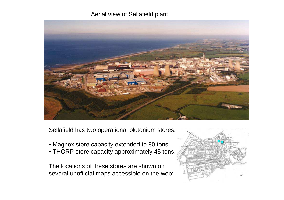#### Aerial view of Sellafield plant



Sellafield has two operational plutonium stores:

- Magnox store capacity extended to 80 tons
- THORP store capacity approximately 45 tons.

The locations of these stores are shown on several unofficial maps accessible on the web:

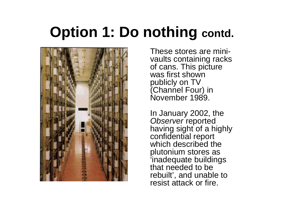### **Option 1: Do nothing contd.**



These stores are minivaults containing racks of cans. This picture was first shown publicly on TV (Channel Four) in November 1989.

In January 2002, the Observer reported having sight of a highly confidential report which described the plutonium stores as 'inadequate buildings that needed to be rebuilt', and unable to resist attack or fire.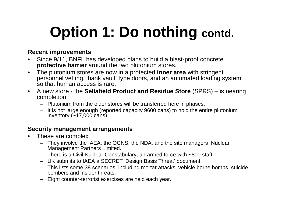## **Option 1: Do nothing contd.**

#### **Recent improvements**

- Since 9/11, BNFL has developed plans to build a blast-proof concrete  $\bullet$ **protective barrier** around the two plutonium stores.
- $\bullet$  The plutonium stores are now in a protected **inner area** with stringent personnel vetting, 'bank vault' type doors, and an automated loading system so that human access is rare.
- $\bullet$  A new store - the **Sellafield Product and Residue Store** (SPRS) – is nearing completion
	- Plutonium from the older stores will be transferred here in phases.
	- It is not large enough (reported capacity 9600 cans) to hold the entire plutonium inventory  $(-17,000 \text{ cans})$

#### **Security management arrangements**

- $\bullet$  These are complex
	- They involve the IAEA, the OCNS, the NDA, and the site managers Nuclear Management Partners Limited.
	- There is a Civil Nuclear Constabulary, an armed force with ~800 staff.
	- UK submits to IAEA a SECRET 'Design Basis Threat' document
	- This lists some 38 scenarios, including mortar attacks, vehicle borne bombs, suicide bombers and insider threats.
	- Eight counter-terrorist exercises are held each year.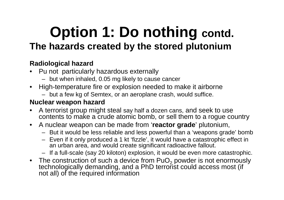### **Option 1: Do nothing contd. The hazards created by the stored plutonium**

#### **Radiological hazard**

- Pu not particularly hazardous externally $\bullet$ 
	- but when inhaled, 0.05 mg likely to cause cancer
- High-temperature fire or explosion needed to make it airborne
	- but a few kg of Semtex, or an aeroplane crash, would suffice.

#### **Nuclear weapon hazard**

- A terrorist group might steal say half a dozen cans, and seek to use •contents to make a crude atomic bomb, or sell them to a rogue country
- A nuclear weapon can be made from '**reactor grade**' plutonium,
	- But it would be less reliable and less powerful than a 'weapons grade' bomb
	- Even if it only produced a 1 kt 'fizzle', it would have a catastrophic effect in an urban area, and would create significant radioactive fallout.
	- If a full-scale (say 20 kiloton) explosion, it would be even more catastrophic.
- $\bullet$  The construction of such a device from PuO $_2$ The construction of such a device from PuO<sub>2</sub> powder is not enormously<br>technologically demanding, and a PhD terrorist could access most (if not all) of the required information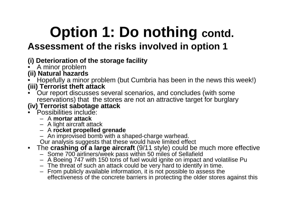### **Option 1: Do nothing contd. Assessment of the risks involved in option 1**

#### **(i) Deterioration of the storage facility**

- A minor problem
- **(ii) Natural hazards**
- Hopefully a minor problem (but Cumbria has been in the news this week!)•**(iii) Terrorist theft attack**
- Our report discusses several scenarios, and concludes (with some•reservations) that the stores are not an attractive target for burglary

#### **(iv) Terrorist sabotage attack**

- Possibilities include:
	- A **mortar attack**
	- A light aircraft attack
	- A **rocket propelled grenade**
	- An improvised bomb with a shaped-charge warhead.
	- Our analysis suggests that these would have limited effect
- The **crashing of a large aircraft** (9/11 style) could be much more effective
	-
	- Some 700 airliners/week pass within 50 miles of Sellafield A Boeing 747 with 150 tons of fuel would ignite on impact and volatilise Pu
	- The threat of such an attack could be very hard to identify in time.
	- From publicly available information, it is not possible to assess the effectiveness of the concrete barriers in protecting the older stores against this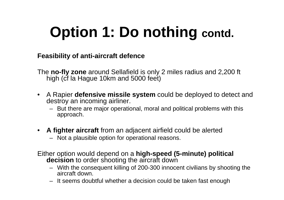## **Option 1: Do nothing contd.**

**Feasibility of anti-aircraft defence**

The **no-fly zone** around Sellafield is only 2 miles radius and 2,200 ft high (cf la Hague 10km and 5000 feet)

- A Rapier **defensive missile system** could be deployed to detect and destroy an incoming airliner.
	- But there are major operational, moral and political problems with this approach.
- $\bullet$  **A fighter aircraft** from an adjacent airfield could be alerted
	- Not a plausible option for operational reasons.
- Either option would depend on a **high-speed (5-minute) political decision** to order shooting the aircraft down
	- With the consequent killing of 200-300 innocent civilians by shooting the aircraft down.
	- It seems doubtful whether a decision could be taken fast enough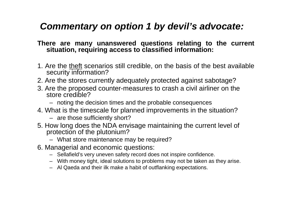#### **Commentary on option 1 by devil's advocate:**

#### **There are many unanswered questions relating to the current situation, requiring access to classified information:**

- 1. Are the <u>theft</u> scenarios still credible, on the basis of the best available security information?
- 2. Are the stores currently adequately protected against sabotage?
- 3. Are the proposed counter-measures to crash a civil airliner on the store credible?
	- noting the decision times and the probable consequences
- 4. What is the timescale for planned improvements in the situation?
	- are those sufficiently short?
- 5. How long does the NDA envisage maintaining the current level of protection of the plutonium?
	- What store maintenance may be required?
- 6. Managerial and economic questions:
	- Sellafield's very uneven safety record does not inspire confidence.
	- With money tight, ideal solutions to problems may not be taken as they arise.
	- Al Qaeda and their ilk make a habit of outflanking expectations.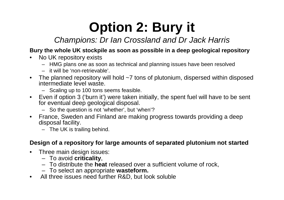#### Champions: Dr Ian Crossland and Dr Jack Harris

#### **Bury the whole UK stockpile as soon as possible in a deep geological repository**

- No UK repository exists
	- HMG plans one as soon as technical and planning issues have been resolved
	- it will be 'non-retrievable'.
- The planned repository will hold ~7 tons of plutonium, dispersed within disposed intermediate level waste.
	- Scaling up to 100 tons seems feasible.
- Even if option 3 ('burn it') were taken initially, the spent fuel will have to be sent for eventual deep geological disposal.
	- So the question is not 'whether', but 'when'?
- France, Sweden and Finland are making progress towards providing a deep disposal facility.
	- The UK is trailing behind.

#### **Design of a repository for large amounts of separated plutonium not started**

- Three main design issues:
	- To avoid **criticality**,
	- To distribute the **heat** released over a sufficient volume of rock,
	- To select an appropriate **wasteform.**
- $\bullet$ All three issues need further R&D, but look solubl e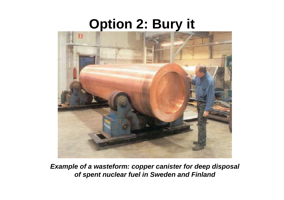

**Example of a wasteform: copper canister for deep disposal of spent nuclear fuel in Sweden and Finland**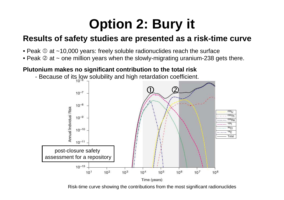#### **Results of safety studies are presented as a risk-time curve**

- Peak  $\odot$  at ~10,000 years: freely soluble radionuclides reach the surface<br>• Peak  $\odot$  at Long million vears when the slowly migrating uranium 238 as
- $\bullet$  Peak ② at ~ one million years when the slowly-migrating uranium-238 gets there.

#### **Plutonium makes no significant contribution to the total risk**

- Because of its low solubility and high retardation coefficient.



Risk-time curve showing the contributions from the most significant radionuclides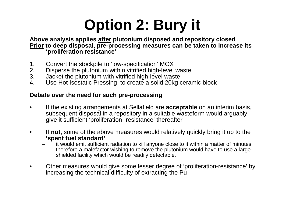**Above analysis applies after plutonium disposed and repository closed Prior to deep disposal, pre-processing measures can be taken to increase its 'proliferation resistance'**

- 1. Convert the stockpile to 'low-specification' MOX<br>2. Disperse the plutonium within vitrified high-level
- 2. Disperse the plutonium within vitrified high-level waste,<br>3. Jacket the plutonium with vitrified high-level waste,
- 3. Jacket the plutonium with vitrified high-level waste,<br>4. Use Hot Isostatic Pressing to create a solid 20kg c
- Use Hot Isostatic Pressing to create a solid 20kg ceramic block

#### **Debate over the need for such pre-processing**

- $\bullet$  If the existing arrangements at Sellafield are **acceptable** on an interim basis, subsequent disposal in a repository in a suitable wasteform would arguably give it sufficient 'proliferation- resistance' thereafter
- • If **not,** some of the above measures would relatively quickly bring it up to the **'spent fuel standard'**
	- it would emit sufficient radiation to kill anyone close to it within a matter of minutes
	- therefore a malefactor wishing to remove the plutonium would have to use a large shielded facility which would be readily detectable.
- • Other measures would give some lesser degree of 'proliferation-resistance' by increasing the technical difficulty of extracting the Pu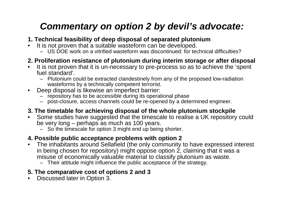#### **Commentary on option 2 by devil's advocate:**

- **1. Technical feasibility of deep disposal of separated plutonium**
- It is not proven that a suitable wasteform can be developed.
	- US DOE work on a vitrified wasteform was discontinued: for technical difficulties?

#### **2. Proliferation resistance of plutonium during interim storage or after disposal**

- • It is not proven that it is un-necessary to pre-process so as to achieve the 'spent fuel standard'.
	- Plutonium could be extracted clandestinely from any of the proposed low-radiation wasteforms by a technically competent terrorist.
- Deep disposal is likewise an imperfect barrier:
	- repository has to be accessible during its operational phase
	- post-closure, access channels could be re-opened by a determined engineer.

#### **3. The timetable for achieving disposal of the whole plutonium stockpile**

- Some studies have suggested that the timescale to realise a UK repository could •be very long – perhaps as much as 100 years.
	- So the timescale for option 3 might end up being shorter.

#### **4. Possible public acceptance problems with option 2**

- The inhabitants around Sellafield (the only community to have expressed interest  $\bullet$ in being chosen for repository) might oppose option 2, claiming that it was a misuse of economically valuable material to classify plutonium as waste.
	- Their attitude might influence the public acceptance of the strategy.

#### **5. The comparative cost of options 2 and 3**

 $\bullet$ Discussed later in Option 3.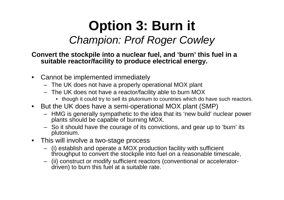### **Option 3: Burn it**Champion: Prof Roger Cowley

#### **Convert the stockpile into a nuclear fuel, and 'burn' this fuel in a suitable reactor/facility to produce electrical energy.**

- $\bullet$  Cannot be implemented immediately
	- The UK does not have a properly operational MOX plant
	- The UK does not have a reactor/facility able to burn MOX
		- though it could try to sell its plutonium to countries which do have such reactors.
- $\bullet$  But the UK does have a semi-operational MOX plant (SMP)
	- HMG is generally sympathetic to the idea that its 'new build' nuclear power plants should be capable of burning MOX.
	- So it should have the courage of its convictions, and gear up to 'burn' its plutonium.
- $\bullet$  This will involve a two-stage process
	- (i) establish and operate a MOX production facility with sufficient throughput to convert the stockpile into fuel on a reasonable timescale,
	- (ii) construct or modify sufficient reactors (conventional or acceleratordriven) to burn this fuel at a suitable rate.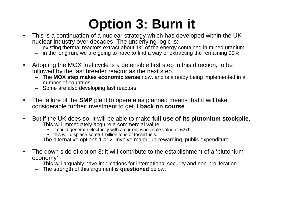- This is a continuation of a nuclear strategy which has developed within the UK  $\bullet$ nuclear industry over decades. The underlying logic is:
	- existing thermal reactors extract about 1% of the energy contained in mined uranium
	- in the long run, we are going to have to find a way of extracting the remaining 99%
- • Adopting the MOX fuel cycle is a defensible first step in this direction, to be followed by the fast breeder reactor as the next step.
	- The **MOX step makes economic sense** now, and is already being implemented in a number of countries.
	- Some are also developing fast reactors.
- $\bullet$ The failure of the **SMP** plant to operate as planned means that it will take considerable further investment to get it **back on course**.
- • But if the UK does so, it will be able to make **full use of its plutonium stockpile**,
	- This will immediately acquire a commercial value
		- it could generate electricity with a current wholesale value of £27b
		- this will displace some 1 billion tons of fossil fuels.
	- The alternative options 1 or 2 involve major, un-rewarding, public expenditure
- $\bullet$  The down side of option 3: it will contribute to the establishment of a 'plutonium economy'
	- This will arguably have implications for international security and non-proliferation.
	- The strength of this argument is **questioned** below.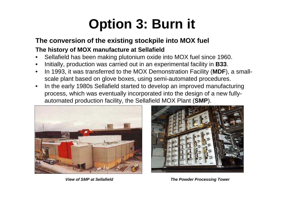#### **The conversion of the existing stockpile into MOX fuel**

#### **The history of MOX manufacture at Sellafield**

- Sellafield has been making plutonium oxide into MOX fuel since 1960. •
- •Initially, production was carried out in an experimental facility in **B33**.
- • In 1993, it was transferred to the MOX Demonstration Facility (**MDF**), a smallscale plant based on glove boxes, using semi-automated procedures.
- • In the early 1980s Sellafield started to develop an improved manufacturing process, which was eventually incorporated into the design of a new fullyautomated production facility, the Sellafield MOX Plant (**SMP**).





**View of SMP at Sellafield The Powder Processing Tower**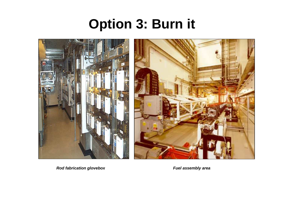

**Rod fabrication glovebox**

**Fuel assembly area**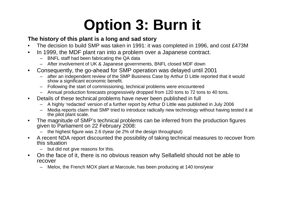#### **The history of this plant is a long and sad story**

- The decision to build SMP was taken in 1991: it was completed in 1996, and cost £473M •
- $\bullet$  In 1999, the MDF plant ran into a problem over a Japanese contract.
	- BNFL staff had been fabricating the QA data
	- After involvement of UK & Japanese governments, BNFL closed MDF down
- Consequently, the go-ahead for SMP operation was delayed until 2001•
	- after an independent review of the SMP Business Case by Arthur D Little reported that it would show a significant economic benefit.
	- Following the start of commissioning, technical problems were encountered
	- Annual production forecasts progressively dropped from 120 tons to 72 tons to 40 tons.
- $\bullet$  Details of these technical problems have never been published in full
	- A highly 'redacted' version of a further report by Arthur D Little was published in July 2006
	- Media reports claim that SMP tried to introduce radically new technology without having tested it at the pilot plant scale.
- • The magnitude of SMP's technical problems can be inferred from the production figures given to Parliament on 22 February 2008:
	- the highest figure was 2.6 t/year (ie 2% of the design throughput)
- $\bullet$  A recent NDA report discounted the possibility of taking technical measures to recover from this situation
	- but did not give reasons for this.
- $\bullet$  On the face of it, there is no obvious reason why Sellafield should not be able to recover
	- Melox, the French MOX plant at Marcoule, has been producing at 140 tons/year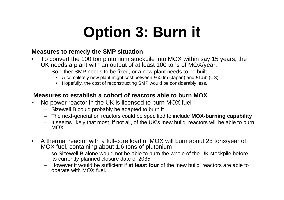#### **Measures to remedy the SMP situation**

- To convert the 100 ton plutonium stockpile into MOX within say 15 years, the  $\bullet$ UK needs a plant with an output of at least 100 tons of MOX/year.
	- So either SMP needs to be fixed, or a new plant needs to be built.
		- A completely new plant might cost between £600m (Japan) and £1.5b (US).
		- Hopefully, the cost of reconstructing SMP would be considerably less.

#### **Measures to establish a cohort of reactors able to burn MOX**

- • No power reactor in the UK is licensed to burn MOX fuel
	- Sizewell B could probably be adapted to burn it
	- The next-generation reactors could be specified to include **MOX-burning capability**
	- It seems likely that most, if not all, of the UK's 'new build' reactors will be able to burn MOX.
- $\bullet$  A thermal reactor with a full-core load of MOX will burn about 25 tons/year of MOX fuel, containing about 1.6 tons of plutonium
	- – so Sizewell B alone would not be able to burn the whole of the UK stockpile before its currently-planned closure date of 2035.
	- However it would be sufficient if **at least four** of the 'new build' reactors are able to operate with MOX fuel.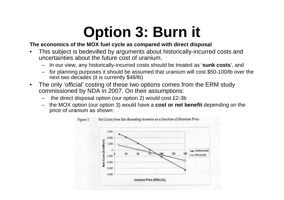#### **The economics of the MOX fuel cycle as compared with direct disposal**

- • This subject is bedevilled by arguments about historically-incurred costs and uncertainties about the future cost of uranium.
	- In our view, any historically-incurred costs should be treated as '**sunk costs**', and
	- for planning purposes it should be assumed that uranium will cost \$50-100/lb over the next two decades (it is currently \$48/lb)
- • The only 'official' costing of these two options comes from the ERM study commissioned by NDA in 2007. On their assumptions:
	- the direct disposal option (our option 2) would cost £2-3b
	- the MOX option (our option 3) would have a **cost or net benefit** depending on the price of uranium as shown:

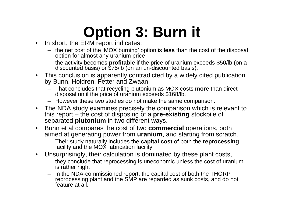- •In short, the ERM report indicates:
	- the net cost of the 'MOX burning' option is **less** than the cost of the disposal option for almost any uranium price
	- the activity becomes **profitable** if the price of uranium exceeds \$50/lb (on a discounted basis) or \$75/lb (on an un-discounted basis).
- • This conclusion is apparently contradicted by a widely cited publication by Bunn, Holdren, Fetter and Zwaan
	- That concludes that recycling plutonium as MOX costs **more** than direct disposal until the price of uranium exceeds \$168/lb. –
	- However these two studies do not make the same comparison.
- $\bullet$  The NDA study examines precisely the comparison which is relevant to this report – the cost of disposing of a **pre-existing** stockpile of separated **plutonium** in two different ways.<br>Bunn et al compares the cost of two **comm**s
- $\bullet$  Bunn et al compares the cost of two **commercial** operations, both aimed at generating power from **uranium**, and starting from scratch.
	- Their study naturally includes the **capital cost** of both the **reprocessing** facility and the MOX fabrication facility.
- $\bullet$  Unsurprisingly, their calculation is dominated by these plant costs,
	- they conclude that reprocessing is uneconomic unless the cost of uranium is rather high.
	- – In the NDA-commissioned report, the capital cost of both the THORP reprocessing plant and the SMP are regarded as sunk costs, and do not feature at all.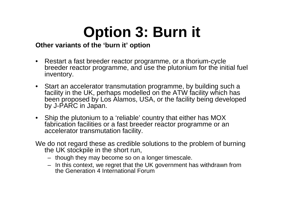#### **Other variants of the 'burn it' option**

- $\bullet$  Restart a fast breeder reactor programme, or a thorium-cycle breeder reactor programme, and use the plutonium for the initial fuel inventory.
- Start an accelerator transmutation programme, by building such a facility in the UK, perhaps modelled on the ATW facility which has been proposed by Los Alamos, USA, or the facility being developed by J-PARC in Japan.
- Ship the plutonium to a 'reliable' country that either has MOX fabrication facilities or a fast breeder reactor programme or anaccelerator transmutation facility.

We do not regard these as credible solutions to the problem of burning the UK stockpile in the short run,

- though they may become so on a longer timescale.
- In this context, we regret that the UK government has withdrawn from the Generation 4 International Forum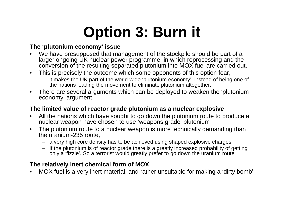#### **The 'plutonium economy' issue**

- •We have presupposed that management of the stockpile should be part of a larger ongoing UK nuclear power programme, in which reprocessing and the conversion of the resulting separated plutonium into MOX fuel are carried out.
- $\bullet$  This is precisely the outcome which some opponents of this option fear,
	- it makes the UK part of the world-wide 'plutonium economy', instead of being one of the nations leading the movement to eliminate plutonium altogether.
- $\bullet$  There are several arguments which can be deployed to weaken the 'plutonium economy' argument.

#### **The limited value of reactor grade plutonium as a nuclear explosive**

- All the nations which have sought to go down the plutonium route to produce a •nuclear weapon have chosen to use 'weapons grade' plutonium
- $\bullet$  The plutonium route to a nuclear weapon is more technically demanding than the uranium-235 route,
	- a very high core density has to be achieved using shaped explosive charges.
	- If the plutonium is of reactor grade there is a greatly increased probability of getting only a 'fizzle'. So a terrorist would greatly prefer to go down the uranium route

#### **The relatively inert chemical form of MOX**

 MOX fuel is a very inert material, and rather unsuitable for making a 'dirty bomb'•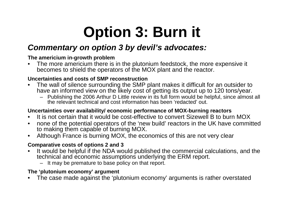#### **Commentary on option 3 by devil's advocates:**

#### **The americium in-growth problem**

 $\bullet$  The more americium there is in the plutonium feedstock, the more expensive it becomes to shield the operators of the MOX plant and the reactor.

#### **Uncertainties and costs of SMP reconstruction**

- The wall of silence surrounding the SMP plant makes it difficult for an outsider to  $\bullet$ have an informed view on the likely cost of getting its output up to 120 tons/year.
	- Publishing the 2006 Arthur D Little review in its full form would be helpful, since almost all the relevant technical and cost information has been 'redacted' out.

#### **Uncertainties over availability/ economic performance of MOX-burning reactors**

- It is not certain that it would be cost-effective to convert Sizewell B to burn MOX $\bullet$
- none of the potential operators of the 'new build' reactors in the UK have committed  $\bullet$ to making them capable of burning MOX.
- Although France is burning MOX, the economics of this are not very clear

#### **Comparative costs of options 2 and 3**

- It would be helpful if the NDA would published the commercial calculations, and the  $\bullet$ technical and economic assumptions underlying the ERM report.
	- It may be premature to base policy on that report.

#### **The 'plutonium economy' argument**

 The case made against the 'plutonium economy' arguments is rather overstated •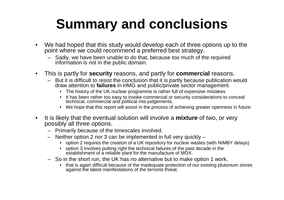- $\bullet$  We had hoped that this study would develop each of three options up to the point where we could recommend a preferred best strategy.
	- Sadly, we have been unable to do that, because too much of the required information is not in the public domain.
- $\bullet$  This is partly for **security** reasons, and partly for **commercial** reasons.
	- But it is difficult to resist the conclusion that it is partly because publication would draw attention to **failures** in HMG and public/private sector management.
		- The history of the UK nuclear programme is rather full of expensive mistakes
		- It has been rather too easy to invoke commercial or security considerations to conceal technical, commercial and political mis-judgements.
		- We hope that this report will assist in the process of achieving greater openness in future.
- • It is likely that the eventual solution will involve a **mixture** of two, or very possibly all three options.
	- Primarily because of the timescales involved.
	- – Neither option 2 nor 3 can be implemented in full very quickly –
		- option 2 requires the creation of a UK repository for nuclear wastes (with NIMBY delays)
		- option 3 involves putting right the technical failures of the past decade in the establishment of a reliable plant for the manufacture of MOX.
	- So in the short run, the UK has no alternative but to make option 1 work,
		- that is again difficult because of the inadequate protection of our existing plutonium stores against the latest manifestations of the terrorist threat.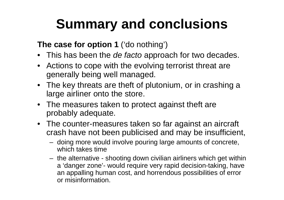### **The case for option 1** ('do nothing')

- $\bullet~$  This has been the *de facto* approach for two decades.
- Actions to cope with the evolving terrorist threat are generally being well managed.
- The key threats are theft of plutonium, or in crashing a large airliner onto the store.
- The measures taken to protect against theft are probably adequate.
- The counter-measures taken so far against an aircraft crash have not been publicised and may be insufficient,
	- – doing more would involve pouring large amounts of concrete, which takes time
	- – the alternative - shooting down civilian airliners which get within <sup>a</sup>'danger zone'- would require very rapid decision-taking, have an appalling human cost, and horrendous possibilities of error or misinformation.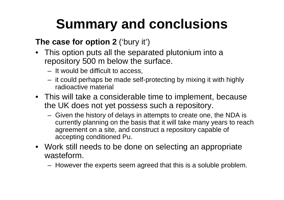### **The case for option 2** ('bury it')

- This option puts all the separated plutonium into a repository 500 m below the surface.
	- It would be difficult to access,
	- it could perhaps be made self-protecting by mixing it with highly radioactive material
- This will take a considerable time to implement, because the UK does not yet possess such a repository.
	- Given the history of delays in attempts to create one, the NDA is currently planning on the basis that it will take many years to reach agreement on a site, and construct a repository capable of accepting conditioned Pu.
- Work still needs to be done on selecting an appropriate wasteform.
	- However the experts seem agreed that this is a soluble problem.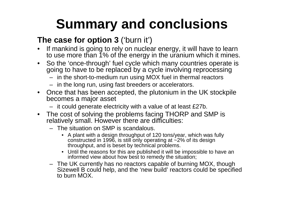### **The case for option 3** ('burn it')

- • If mankind is going to rely on nuclear energy, it will have to learn to use more than 1% of the energy in the uranium which it mines.
- • So the 'once-through' fuel cycle which many countries operate is going to have to be replaced by a cycle involving reprocessing
	- in the short-to-medium run using MOX fuel in thermal reactors
	- in the long run, using fast breeders or accelerators.
- Once that has been accepted, the plutonium in the UK stockpile becomes a major asset
	- it could generate electricity with a value of at least £27b.
- The cost of solving the problems facing THORP and SMP is relatively small. However there are difficulties:
	- The situation on SMP is scandalous.
		- A plant with a design throughput of 120 tons/year, which was fully constructed in 1996, is still only operating at ~2% of its design throughput, and is beset by technical problems.
		- Until the reasons for this are published it will be impossible to have an informed view about how best to remedy the situation;
	- The UK currently has no reactors capable of burning MOX, though Sizewell B could help, and the 'new build' reactors could be specified to burn MOX.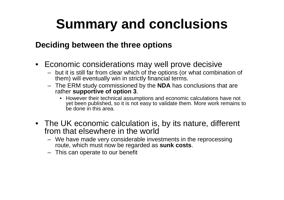#### **Deciding between the three options**

- Economic considerations may well prove decisive
	- but it is still far from clear which of the options (or what combination of them) will eventually win in strictly financial terms.
	- The ERM study commissioned by the **NDA** has conclusions that are rather **supportive of option 3**.
		- However their technical assumptions and economic calculations have not yet been published, so it is not easy to validate them. More work remains to be done in this area.
- The UK economic calculation is, by its nature, different from that elsewhere in the world
	- We have made very considerable investments in the reprocessing route, which must now be regarded as **sunk costs**.
	- This can operate to our benefit